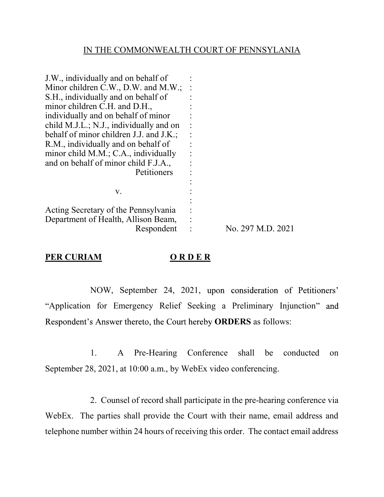#### IN THE COMMONWEALTH COURT OF PENNSYLANIA

| J.W., individually and on behalf of     |                   |
|-----------------------------------------|-------------------|
| Minor children C.W., D.W. and M.W.;     |                   |
| S.H., individually and on behalf of     |                   |
| minor children C.H. and D.H.,           |                   |
| individually and on behalf of minor     |                   |
| child M.J.L.; N.J., individually and on |                   |
| behalf of minor children J.J. and J.K.; |                   |
| R.M., individually and on behalf of     |                   |
| minor child M.M.; C.A., individually    |                   |
| and on behalf of minor child F.J.A.,    |                   |
| Petitioners                             |                   |
|                                         |                   |
| V.                                      |                   |
|                                         |                   |
| Acting Secretary of the Pennsylvania    |                   |
| Department of Health, Allison Beam,     |                   |
| Respondent                              | No. 297 M.D. 2021 |
|                                         |                   |

#### **PER CURIAM O R D E R**

NOW, September 24, 2021, upon consideration of Petitioners' "Application for Emergency Relief Seeking a Preliminary Injunction" and Respondent's Answer thereto, the Court hereby **ORDERS** as follows:

 1. A Pre-Hearing Conference shall be conducted on September 28, 2021, at 10:00 a.m., by WebEx video conferencing.

 2. Counsel of record shall participate in the pre-hearing conference via WebEx. The parties shall provide the Court with their name, email address and telephone number within 24 hours of receiving this order. The contact email address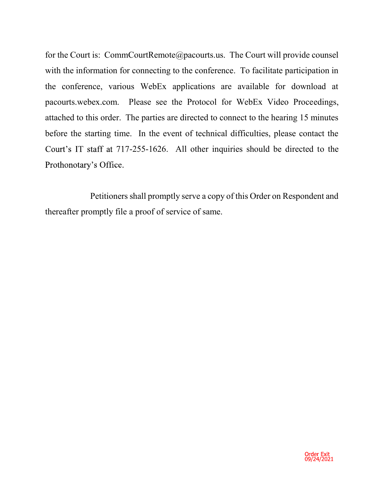for the Court is: CommCourtRemote@pacourts.us. The Court will provide counsel with the information for connecting to the conference. To facilitate participation in the conference, various WebEx applications are available for download at pacourts.webex.com. Please see the Protocol for WebEx Video Proceedings, attached to this order. The parties are directed to connect to the hearing 15 minutes before the starting time. In the event of technical difficulties, please contact the Court's IT staff at 717-255-1626. All other inquiries should be directed to the Prothonotary's Office.

 Petitioners shall promptly serve a copy of this Order on Respondent and thereafter promptly file a proof of service of same.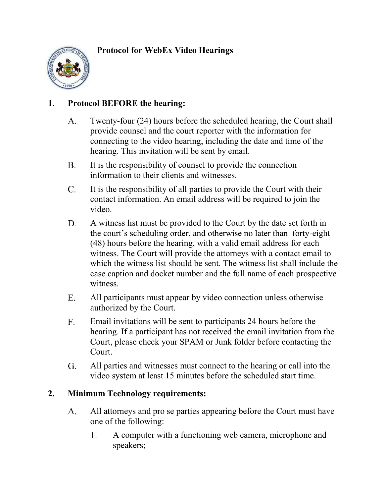## **Protocol for WebEx Video Hearings**



## **1. Protocol BEFORE the hearing:**

- $A_{\cdot}$ Twenty-four (24) hours before the scheduled hearing, the Court shall provide counsel and the court reporter with the information for connecting to the video hearing, including the date and time of the hearing. This invitation will be sent by email.
- **B.** It is the responsibility of counsel to provide the connection information to their clients and witnesses.
- $C_{\cdot}$ It is the responsibility of all parties to provide the Court with their contact information. An email address will be required to join the video.
- D. A witness list must be provided to the Court by the date set forth in the court's scheduling order, and otherwise no later than forty-eight (48) hours before the hearing, with a valid email address for each witness. The Court will provide the attorneys with a contact email to which the witness list should be sent. The witness list shall include the case caption and docket number and the full name of each prospective witness.
- All participants must appear by video connection unless otherwise  $E_{\rm{r}}$ authorized by the Court.
- $F_{\cdot}$ Email invitations will be sent to participants 24 hours before the hearing. If a participant has not received the email invitation from the Court, please check your SPAM or Junk folder before contacting the Court.
- G. All parties and witnesses must connect to the hearing or call into the video system at least 15 minutes before the scheduled start time.

## **2. Minimum Technology requirements:**

- All attorneys and pro se parties appearing before the Court must have А. one of the following:
	- $1.$ A computer with a functioning web camera, microphone and speakers;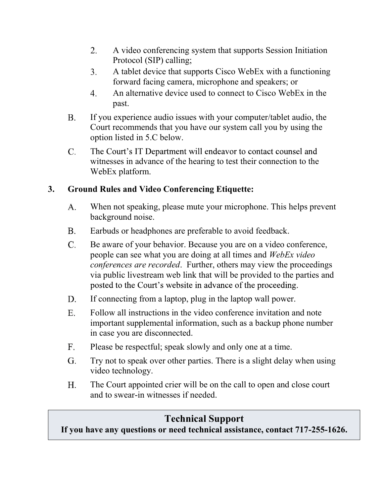- $2.$ A video conferencing system that supports Session Initiation Protocol (SIP) calling;
- A tablet device that supports Cisco WebEx with a functioning 3. forward facing camera, microphone and speakers; or
- $4.$ An alternative device used to connect to Cisco WebEx in the past.
- **B.** If you experience audio issues with your computer/tablet audio, the Court recommends that you have our system call you by using the option listed in 5.C below.
- $\mathbf{C}$ . The Court's IT Department will endeavor to contact counsel and witnesses in advance of the hearing to test their connection to the WebEx platform.

## **3. Ground Rules and Video Conferencing Etiquette:**

- $A_{\cdot}$ When not speaking, please mute your microphone. This helps prevent background noise.
- **B.** Earbuds or headphones are preferable to avoid feedback.
- $\mathbf{C}$ . Be aware of your behavior. Because you are on a video conference, people can see what you are doing at all times and *WebEx video conferences are recorded*. Further, others may view the proceedings via public livestream web link that will be provided to the parties and posted to the Court's website in advance of the proceeding.
- If connecting from a laptop, plug in the laptop wall power. D.
- $E_{\star}$ Follow all instructions in the video conference invitation and note important supplemental information, such as a backup phone number in case you are disconnected.
- $F<sub>1</sub>$ Please be respectful; speak slowly and only one at a time.
- G. Try not to speak over other parties. There is a slight delay when using video technology.
- $H<sub>1</sub>$ The Court appointed crier will be on the call to open and close court and to swear-in witnesses if needed.

# **Technical Support**

**If you have any questions or need technical assistance, contact 717-255-1626.**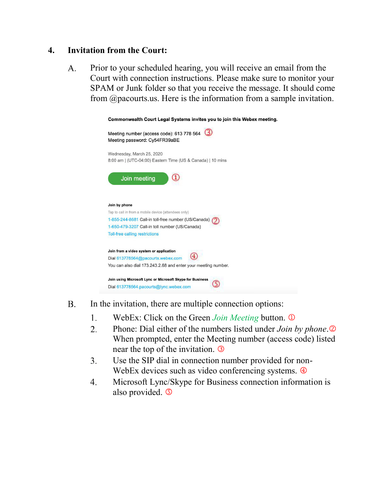### **4. Invitation from the Court:**

Prior to your scheduled hearing, you will receive an email from the  $A_{\cdot}$ Court with connection instructions. Please make sure to monitor your SPAM or Junk folder so that you receive the message. It should come from @pacourts.us. Here is the information from a sample invitation.

| Commonwealth Court Legal Systems invites you to join this Webex meeting. |                                                                            |  |
|--------------------------------------------------------------------------|----------------------------------------------------------------------------|--|
|                                                                          | Meeting number (access code): 613 778 564<br>Meeting password: Cy54FR39aBE |  |
|                                                                          | Wednesday, March 25, 2020                                                  |  |
|                                                                          | 8:00 am   (UTC-04:00) Eastern Time (US & Canada)   10 mins                 |  |
|                                                                          | Join meeting                                                               |  |
| Join by phone                                                            |                                                                            |  |
|                                                                          | Tap to call in from a mobile device (attendees only)                       |  |
|                                                                          | 1-855-244-8681 Call-in toll-free number (US/Canada)                        |  |
|                                                                          | 1-650-479-3207 Call-in toll number (US/Canada)                             |  |
|                                                                          | <b>Toll-free calling restrictions</b>                                      |  |
|                                                                          |                                                                            |  |
|                                                                          | Join from a video system or application                                    |  |
|                                                                          | Dial 613778564@pacourts.webex.com                                          |  |
|                                                                          | You can also dial 173.243.2.68 and enter your meeting number.              |  |
|                                                                          | Join using Microsoft Lync or Microsoft Skype for Business                  |  |

- **B.** In the invitation, there are multiple connection options:
	- 1. WebEx: Click on the Green *Join Meeting* button.
	- $\overline{2}$ . Phone: Dial either of the numbers listed under *Join by phone*. When prompted, enter the Meeting number (access code) listed near the top of the invitation.
	- $3.$ Use the SIP dial in connection number provided for non-WebEx devices such as video conferencing systems.  $\Phi$
	- Microsoft Lync/Skype for Business connection information is  $4.$ also provided.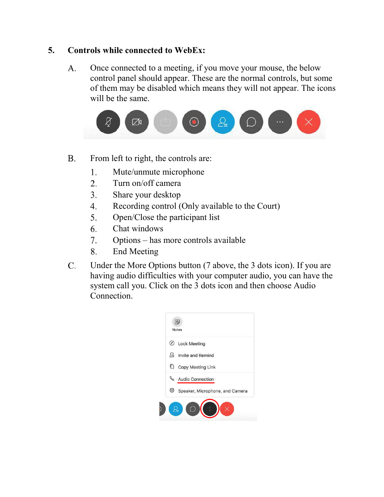#### **5. Controls while connected to WebEx:**

Once connected to a meeting, if you move your mouse, the below  $A_{\cdot}$ control panel should appear. These are the normal controls, but some of them may be disabled which means they will not appear. The icons will be the same.



- **B.** From left to right, the controls are:
	- Mute/unmute microphone 1.
	- $2.$ Turn on/off camera
	- $3.$ Share your desktop
	- Recording control (Only available to the Court)  $\mathbf{4}$ .
	- Open/Close the participant list 5.
	- $6<sup>1</sup>$ Chat windows
	- Options has more controls available  $7.$
	- 8. End Meeting
- $\mathbf{C}$ . Under the More Options button (7 above, the 3 dots icon). If you are having audio difficulties with your computer audio, you can have the system call you. Click on the 3 dots icon and then choose Audio Connection.